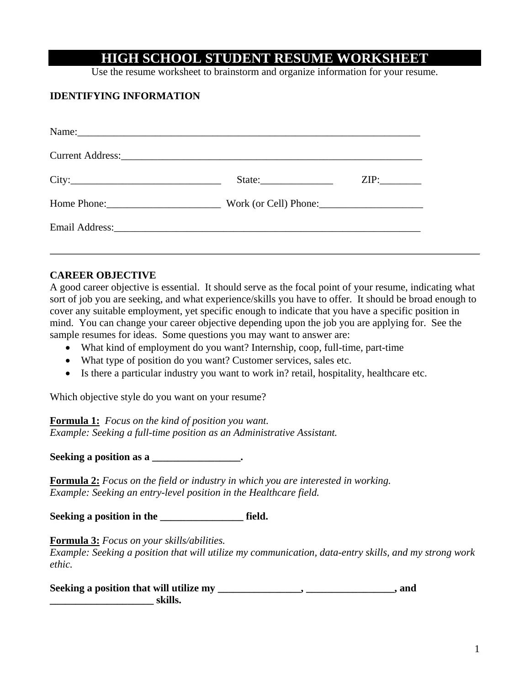## **HIGH SCHOOL STUDENT RESUME WORKSHEET**

Use the resume worksheet to brainstorm and organize information for your resume.

## **IDENTIFYING INFORMATION**

| ZIP: |
|------|
|      |
|      |
|      |

### **CAREER OBJECTIVE**

A good career objective is essential. It should serve as the focal point of your resume, indicating what sort of job you are seeking, and what experience/skills you have to offer. It should be broad enough to cover any suitable employment, yet specific enough to indicate that you have a specific position in mind. You can change your career objective depending upon the job you are applying for. See the sample resumes for ideas. Some questions you may want to answer are:

- What kind of employment do you want? Internship, coop, full-time, part-time
- What type of position do you want? Customer services, sales etc.
- Is there a particular industry you want to work in? retail, hospitality, healthcare etc.

Which objective style do you want on your resume?

**Formula 1:** *Focus on the kind of position you want. Example: Seeking a full-time position as an Administrative Assistant.* 

**Seeking a position as a \_\_\_\_\_\_\_\_\_\_\_\_\_\_\_\_\_.** 

**Formula 2:** *Focus on the field or industry in which you are interested in working. Example: Seeking an entry-level position in the Healthcare field.* 

Seeking a position in the \_\_\_\_\_\_\_\_\_\_\_\_\_\_\_\_\_\_\_\_ field.

**Formula 3:** *Focus on your skills/abilities.* 

*Example: Seeking a position that will utilize my communication, data-entry skills, and my strong work ethic.* 

Seeking a position that will utilize my \_\_\_\_\_\_\_\_\_\_\_\_\_\_\_\_, \_\_\_\_\_\_\_\_\_\_\_\_\_\_\_, and **z**<br>**skills.**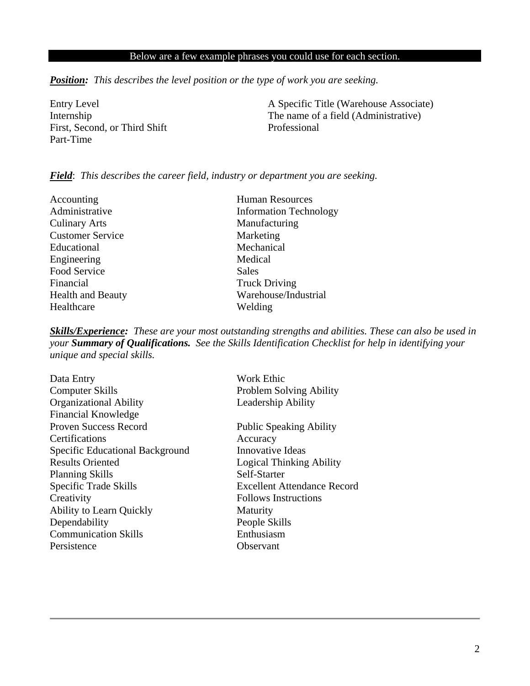## Below are a few example phrases you could use for each section.

*Position: This describes the level position or the type of work you are seeking.* 

First, Second, or Third Shift Professional Part-Time

Entry Level A Specific Title (Warehouse Associate) Internship The name of a field (Administrative)

#### *Field*: *This describes the career field, industry or department you are seeking.*

Accounting Human Resources Culinary Arts Manufacturing Customer Service Marketing Educational Mechanical Engineering Medical Food Service Sales Financial Truck Driving Healthcare Welding

Administrative Information Technology Health and Beauty Warehouse/Industrial

*Skills/Experience: These are your most outstanding strengths and abilities. These can also be used in your Summary of Qualifications. See the Skills Identification Checklist for help in identifying your unique and special skills.* 

| Data Entry                      | <b>Work Ethic</b>                  |
|---------------------------------|------------------------------------|
| <b>Computer Skills</b>          | <b>Problem Solving Ability</b>     |
| <b>Organizational Ability</b>   | Leadership Ability                 |
| <b>Financial Knowledge</b>      |                                    |
| <b>Proven Success Record</b>    | <b>Public Speaking Ability</b>     |
| Certifications                  | Accuracy                           |
| Specific Educational Background | Innovative Ideas                   |
| <b>Results Oriented</b>         | <b>Logical Thinking Ability</b>    |
| <b>Planning Skills</b>          | Self-Starter                       |
| Specific Trade Skills           | <b>Excellent Attendance Record</b> |
| Creativity                      | <b>Follows Instructions</b>        |
| <b>Ability to Learn Quickly</b> | Maturity                           |
| Dependability                   | People Skills                      |
| <b>Communication Skills</b>     | Enthusiasm                         |
| Persistence                     | Observant                          |
|                                 |                                    |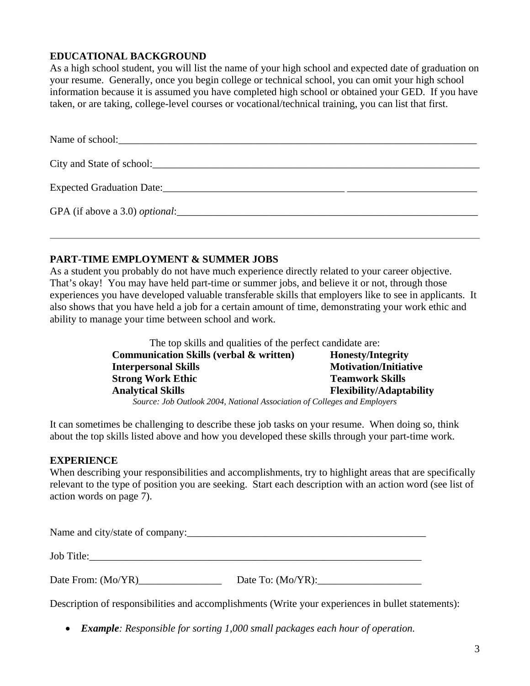## **EDUCATIONAL BACKGROUND**

As a high school student, you will list the name of your high school and expected date of graduation on your resume. Generally, once you begin college or technical school, you can omit your high school information because it is assumed you have completed high school or obtained your GED. If you have taken, or are taking, college-level courses or vocational/technical training, you can list that first.

| Name of school:                                     |  |
|-----------------------------------------------------|--|
| City and State of school: City and State of school: |  |
| Expected Graduation Date:                           |  |
| GPA (if above a 3.0) <i>optional</i> :              |  |

## **PART-TIME EMPLOYMENT & SUMMER JOBS**

As a student you probably do not have much experience directly related to your career objective. That's okay! You may have held part-time or summer jobs, and believe it or not, through those experiences you have developed valuable transferable skills that employers like to see in applicants. It also shows that you have held a job for a certain amount of time, demonstrating your work ethic and ability to manage your time between school and work.

> The top skills and qualities of the perfect candidate are: **Communication Skills (verbal & written) Honesty/Integrity Interpersonal Skills Motivation/Initiative Strong Work Ethic Teamwork Skills Analytical Skills Flexibility/Adaptability**  *Source: Job Outlook 2004, National Association of Colleges and Employers*

It can sometimes be challenging to describe these job tasks on your resume. When doing so, think about the top skills listed above and how you developed these skills through your part-time work.

## **EXPERIENCE**

When describing your responsibilities and accomplishments, try to highlight areas that are specifically relevant to the type of position you are seeking. Start each description with an action word (see list of action words on page 7).

Name and city/state of company:\_\_\_\_\_\_\_\_\_\_\_\_\_\_\_\_\_\_\_\_\_\_\_\_\_\_\_\_\_\_\_\_\_\_\_\_\_\_\_\_\_\_\_\_\_\_ Job Title:

Date From: (Mo/YR)\_\_\_\_\_\_\_\_\_\_\_\_\_\_\_\_ Date To: (Mo/YR):\_\_\_\_\_\_\_\_\_\_\_\_\_\_\_\_\_\_\_\_

Description of responsibilities and accomplishments (Write your experiences in bullet statements):

• *Example: Responsible for sorting 1,000 small packages each hour of operation.*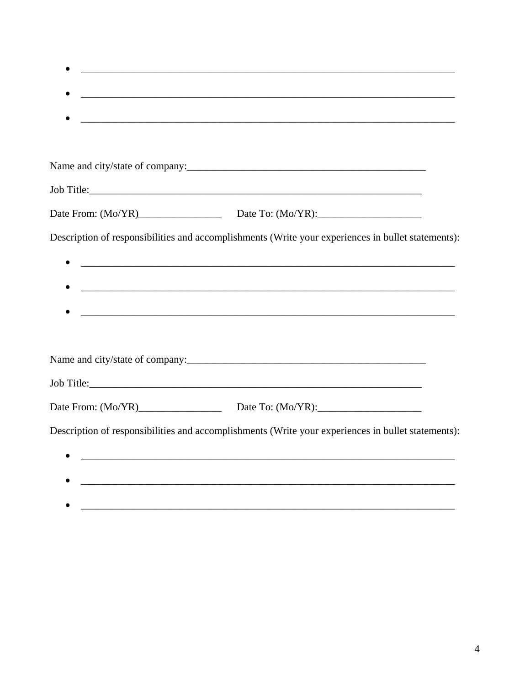| Description of responsibilities and accomplishments (Write your experiences in bullet statements): |
|----------------------------------------------------------------------------------------------------|
|                                                                                                    |
|                                                                                                    |
|                                                                                                    |
|                                                                                                    |
|                                                                                                    |
|                                                                                                    |
| Date From: (Mo/YR) Date To: (Mo/YR):                                                               |
| Description of responsibilities and accomplishments (Write your experiences in bullet statements): |
| <u> 1989 - Johann Stoff, Amerikaansk politiker (d. 1989)</u>                                       |
|                                                                                                    |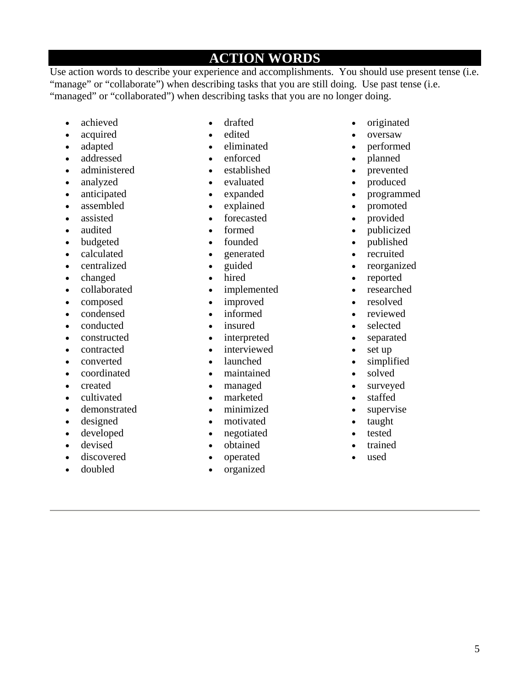# **ACTION WORDS**

Use action words to describe your experience and accomplishments. You should use present tense (i.e. "manage" or "collaborate") when describing tasks that you are still doing. Use past tense (i.e. "managed" or "collaborated") when describing tasks that you are no longer doing.

- achieved
- acquired
- adapted
- addressed
- administered
- analyzed
- anticipated
- assembled
- assisted
- audited
- budgeted
- calculated
- centralized
- changed
- collaborated
- composed
- condensed
- conducted
- constructed
- contracted
- converted
- coordinated
- created
- cultivated
- demonstrated
- designed
- developed
- devised
- discovered
- doubled
- drafted
- edited
- eliminated
- enforced
- established
- evaluated
- expanded
- explained
- forecasted
- formed
- founded
- generated
- guided
- hired
- implemented
- improved
- informed
- insured
- interpreted
- interviewed
- launched
- maintained
- managed
- marketed
- minimized
- motivated
- negotiated
- obtained
- operated
- organized
- originated
- oversaw
- performed
- planned
- prevented
- produced
- programmed
- promoted
- provided
- publicized
- published
- recruited
- reorganized
- reported
- researched
- resolved
- reviewed
- selected
- separated
- set up
- simplified
- solved
- surveyed
- staffed
- supervise
- taught
- tested
- trained
- used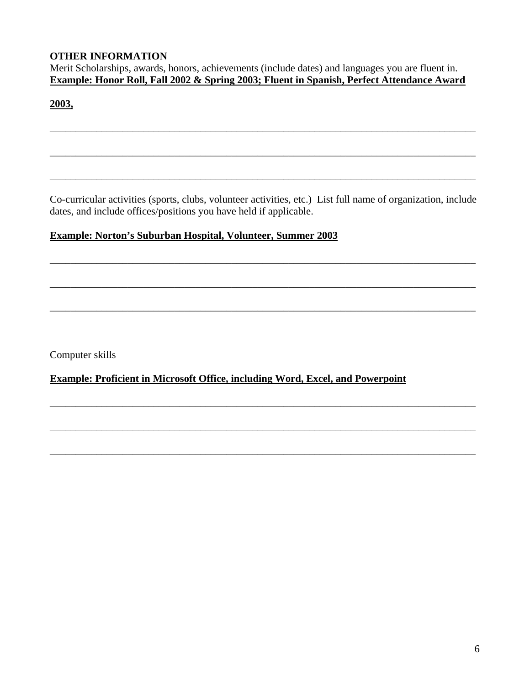## **OTHER INFORMATION**

Merit Scholarships, awards, honors, achievements (include dates) and languages you are fluent in. **Example: Honor Roll, Fall 2002 & Spring 2003; Fluent in Spanish, Perfect Attendance Award** 

\_\_\_\_\_\_\_\_\_\_\_\_\_\_\_\_\_\_\_\_\_\_\_\_\_\_\_\_\_\_\_\_\_\_\_\_\_\_\_\_\_\_\_\_\_\_\_\_\_\_\_\_\_\_\_\_\_\_\_\_\_\_\_\_\_\_\_\_\_\_\_\_\_\_\_\_\_\_\_\_\_\_

\_\_\_\_\_\_\_\_\_\_\_\_\_\_\_\_\_\_\_\_\_\_\_\_\_\_\_\_\_\_\_\_\_\_\_\_\_\_\_\_\_\_\_\_\_\_\_\_\_\_\_\_\_\_\_\_\_\_\_\_\_\_\_\_\_\_\_\_\_\_\_\_\_\_\_\_\_\_\_\_\_\_

## **2003,**

Co-curricular activities (sports, clubs, volunteer activities, etc.) List full name of organization, include dates, and include offices/positions you have held if applicable.

\_\_\_\_\_\_\_\_\_\_\_\_\_\_\_\_\_\_\_\_\_\_\_\_\_\_\_\_\_\_\_\_\_\_\_\_\_\_\_\_\_\_\_\_\_\_\_\_\_\_\_\_\_\_\_\_\_\_\_\_\_\_\_\_\_\_\_\_\_\_\_\_\_\_\_\_\_\_\_\_\_\_

\_\_\_\_\_\_\_\_\_\_\_\_\_\_\_\_\_\_\_\_\_\_\_\_\_\_\_\_\_\_\_\_\_\_\_\_\_\_\_\_\_\_\_\_\_\_\_\_\_\_\_\_\_\_\_\_\_\_\_\_\_\_\_\_\_\_\_\_\_\_\_\_\_\_\_\_\_\_\_\_\_\_

\_\_\_\_\_\_\_\_\_\_\_\_\_\_\_\_\_\_\_\_\_\_\_\_\_\_\_\_\_\_\_\_\_\_\_\_\_\_\_\_\_\_\_\_\_\_\_\_\_\_\_\_\_\_\_\_\_\_\_\_\_\_\_\_\_\_\_\_\_\_\_\_\_\_\_\_\_\_\_\_\_\_

\_\_\_\_\_\_\_\_\_\_\_\_\_\_\_\_\_\_\_\_\_\_\_\_\_\_\_\_\_\_\_\_\_\_\_\_\_\_\_\_\_\_\_\_\_\_\_\_\_\_\_\_\_\_\_\_\_\_\_\_\_\_\_\_\_\_\_\_\_\_\_\_\_\_\_\_\_\_\_\_\_\_

\_\_\_\_\_\_\_\_\_\_\_\_\_\_\_\_\_\_\_\_\_\_\_\_\_\_\_\_\_\_\_\_\_\_\_\_\_\_\_\_\_\_\_\_\_\_\_\_\_\_\_\_\_\_\_\_\_\_\_\_\_\_\_\_\_\_\_\_\_\_\_\_\_\_\_\_\_\_\_\_\_\_

\_\_\_\_\_\_\_\_\_\_\_\_\_\_\_\_\_\_\_\_\_\_\_\_\_\_\_\_\_\_\_\_\_\_\_\_\_\_\_\_\_\_\_\_\_\_\_\_\_\_\_\_\_\_\_\_\_\_\_\_\_\_\_\_\_\_\_\_\_\_\_\_\_\_\_\_\_\_\_\_\_\_

\_\_\_\_\_\_\_\_\_\_\_\_\_\_\_\_\_\_\_\_\_\_\_\_\_\_\_\_\_\_\_\_\_\_\_\_\_\_\_\_\_\_\_\_\_\_\_\_\_\_\_\_\_\_\_\_\_\_\_\_\_\_\_\_\_\_\_\_\_\_\_\_\_\_\_\_\_\_\_\_\_\_

## **Example: Norton's Suburban Hospital, Volunteer, Summer 2003**

Computer skills

## **Example: Proficient in Microsoft Office, including Word, Excel, and Powerpoint**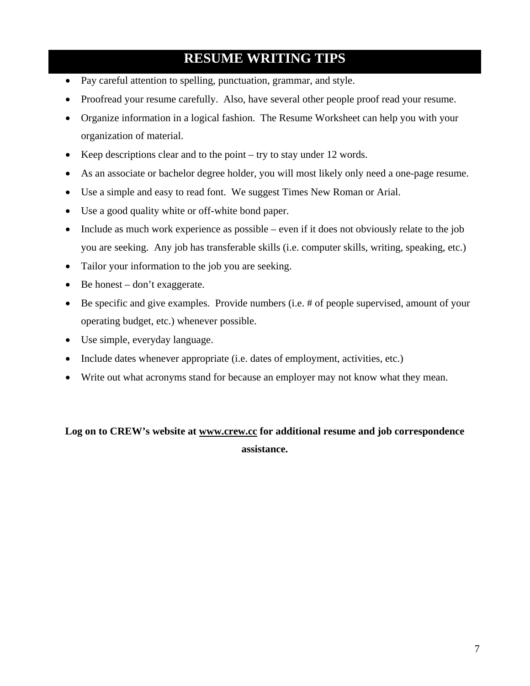# **RESUME WRITING TIPS**

- Pay careful attention to spelling, punctuation, grammar, and style.
- Proofread your resume carefully. Also, have several other people proof read your resume.
- Organize information in a logical fashion. The Resume Worksheet can help you with your organization of material.
- Keep descriptions clear and to the point try to stay under 12 words.
- As an associate or bachelor degree holder, you will most likely only need a one-page resume.
- Use a simple and easy to read font. We suggest Times New Roman or Arial.
- Use a good quality white or off-white bond paper.
- Include as much work experience as possible even if it does not obviously relate to the job you are seeking. Any job has transferable skills (i.e. computer skills, writing, speaking, etc.)
- Tailor your information to the job you are seeking.
- Be honest don't exaggerate.
- Be specific and give examples. Provide numbers (i.e. # of people supervised, amount of your operating budget, etc.) whenever possible.
- Use simple, everyday language.
- Include dates whenever appropriate (i.e. dates of employment, activities, etc.)
- Write out what acronyms stand for because an employer may not know what they mean.

## **Log on to CREW's website at www.crew.cc for additional resume and job correspondence assistance.**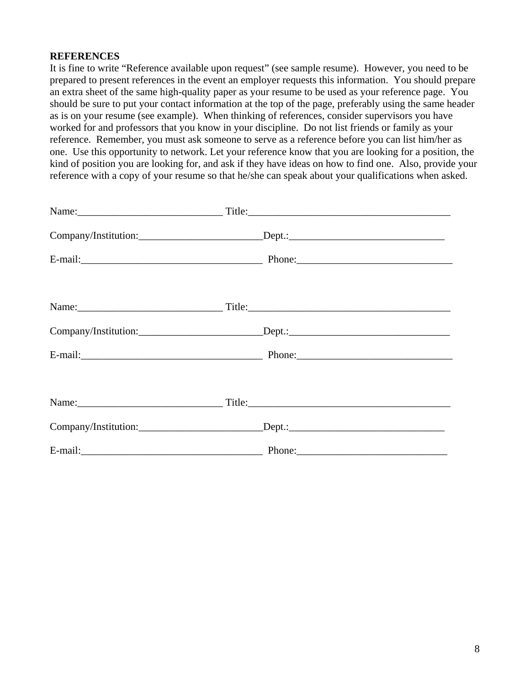### **REFERENCES**

It is fine to write "Reference available upon request" (see sample resume). However, you need to be prepared to present references in the event an employer requests this information. You should prepare an extra sheet of the same high-quality paper as your resume to be used as your reference page. You should be sure to put your contact information at the top of the page, preferably using the same header as is on your resume (see example). When thinking of references, consider supervisors you have worked for and professors that you know in your discipline. Do not list friends or family as your reference. Remember, you must ask someone to serve as a reference before you can list him/her as one. Use this opportunity to network. Let your reference know that you are looking for a position, the kind of position you are looking for, and ask if they have ideas on how to find one. Also, provide your reference with a copy of your resume so that he/she can speak about your qualifications when asked.

|            | Title:                                  |  |
|------------|-----------------------------------------|--|
|            | Company/Institution: Dept.: Dept.:      |  |
|            |                                         |  |
|            |                                         |  |
|            |                                         |  |
|            | Company/Institution: Dept.: Dept.: Dept |  |
|            |                                         |  |
|            |                                         |  |
| Name: Name | Title:                                  |  |
|            |                                         |  |
|            |                                         |  |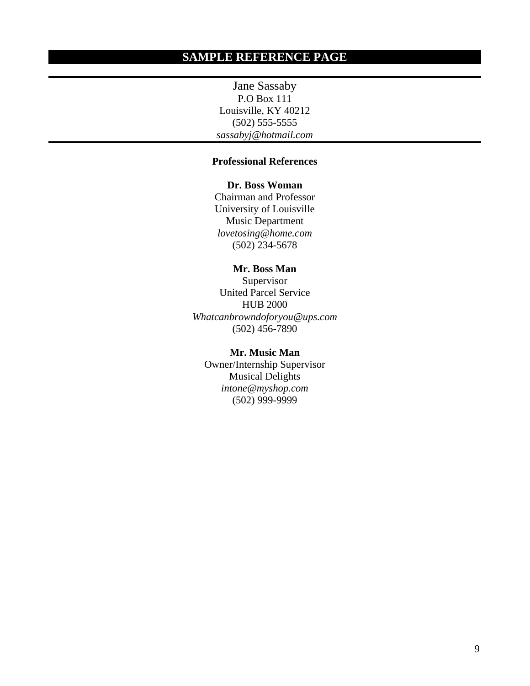Jane Sassaby P.O Box 111 Louisville, KY 40212 (502) 555-5555 *sassabyj@hotmail.com* 

### **Professional References**

**Dr. Boss Woman** 

Chairman and Professor University of Louisville Music Department *lovetosing@home.com*   $(502)$  234-5678

### **Mr. Boss Man**

Supervisor United Parcel Service HUB 2000 *Whatcanbrowndoforyou@ups.com*   $(502)$  456-7890

### **Mr. Music Man**

Owner/Internship Supervisor Musical Delights *intone@myshop.com*   $(502)$  999-9999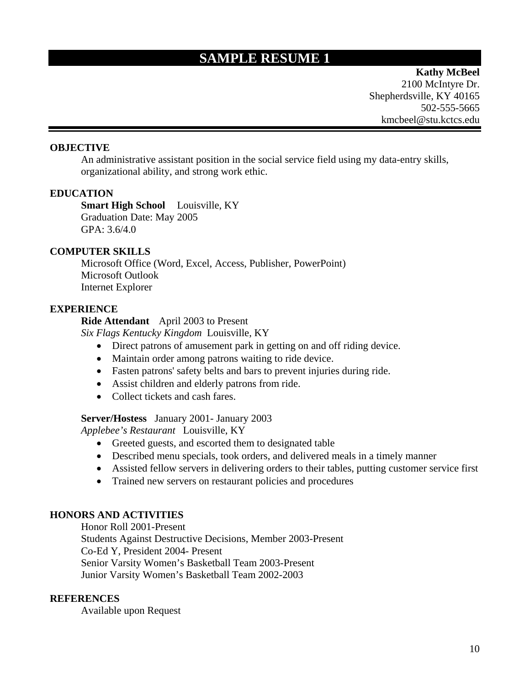# **SAMPLE RESUME 1**

**Kathy McBeel**  2100 McIntyre Dr. Shepherdsville, KY 40165 502-555-5665 kmcbeel@stu.kctcs.edu

### **OBJECTIVE**

An administrative assistant position in the social service field using my data-entry skills, organizational ability, and strong work ethic.

### **EDUCATION**

**Smart High School** Louisville, KY Graduation Date: May 2005 GPA: 3.6/4.0

### **COMPUTER SKILLS**

Microsoft Office (Word, Excel, Access, Publisher, PowerPoint) Microsoft Outlook Internet Explorer

#### **EXPERIENCE**

**Ride Attendant** April 2003 to Present

*Six Flags Kentucky Kingdom* Louisville, KY

- Direct patrons of amusement park in getting on and off riding device.
- Maintain order among patrons waiting to ride device.
- Fasten patrons' safety belts and bars to prevent injuries during ride.
- Assist children and elderly patrons from ride.
- Collect tickets and cash fares.

#### **Server/Hostess** January 2001- January 2003

*Applebee's Restaurant* Louisville, KY

- Greeted guests, and escorted them to designated table
- Described menu specials, took orders, and delivered meals in a timely manner
- Assisted fellow servers in delivering orders to their tables, putting customer service first
- Trained new servers on restaurant policies and procedures

### **HONORS AND ACTIVITIES**

Honor Roll 2001-Present Students Against Destructive Decisions, Member 2003-Present Co-Ed Y, President 2004- Present Senior Varsity Women's Basketball Team 2003-Present Junior Varsity Women's Basketball Team 2002-2003

#### **REFERENCES**

Available upon Request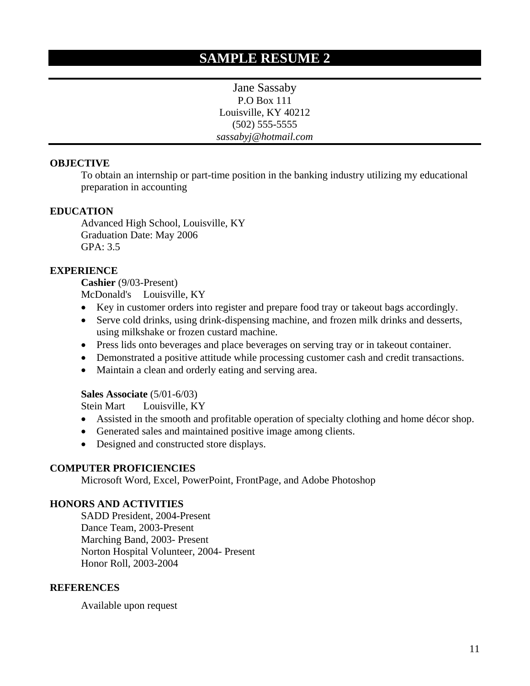Jane Sassaby P.O Box 111 Louisville, KY 40212 (502) 555-5555 *sassabyj@hotmail.com* 

## **OBJECTIVE**

To obtain an internship or part-time position in the banking industry utilizing my educational preparation in accounting

## **EDUCATION**

 Advanced High School, Louisville, KY Graduation Date: May 2006 GPA: 3.5

## **EXPERIENCE**

**Cashier** (9/03-Present) McDonald's Louisville, KY

- Key in customer orders into register and prepare food tray or takeout bags accordingly.
- Serve cold drinks, using drink-dispensing machine, and frozen milk drinks and desserts, using milkshake or frozen custard machine.
- Press lids onto beverages and place beverages on serving tray or in takeout container.
- Demonstrated a positive attitude while processing customer cash and credit transactions.
- Maintain a clean and orderly eating and serving area.

### **Sales Associate** (5/01-6/03)

Stein Mart Louisville, KY

- Assisted in the smooth and profitable operation of specialty clothing and home décor shop.
- Generated sales and maintained positive image among clients.
- Designed and constructed store displays.

### **COMPUTER PROFICIENCIES**

Microsoft Word, Excel, PowerPoint, FrontPage, and Adobe Photoshop

### **HONORS AND ACTIVITIES**

 SADD President, 2004-Present Dance Team, 2003-Present Marching Band, 2003- Present Norton Hospital Volunteer, 2004- Present Honor Roll, 2003-2004

### **REFERENCES**

Available upon request